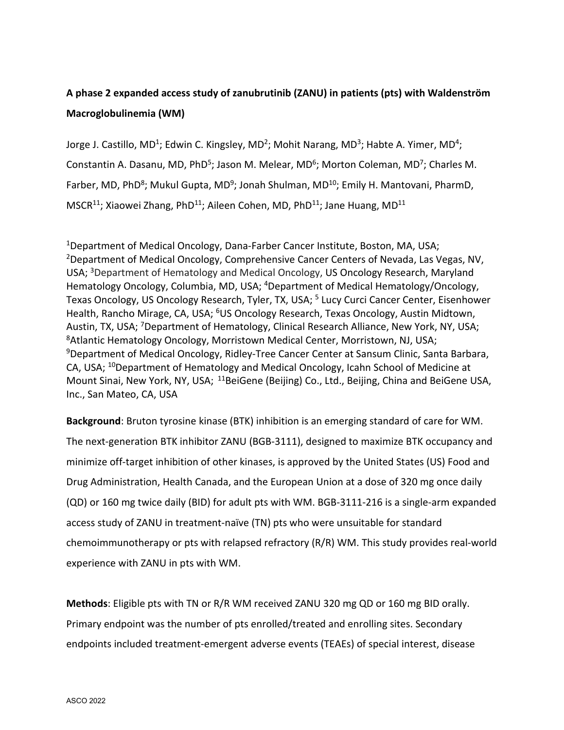## **A phase 2 expanded access study of zanubrutinib (ZANU) in patients (pts) with Waldenström Macroglobulinemia (WM)**

Jorge J. Castillo, MD<sup>1</sup>; Edwin C. Kingsley, MD<sup>2</sup>; Mohit Narang, MD<sup>3</sup>; Habte A. Yimer, MD<sup>4</sup>; Constantin A. Dasanu, MD, PhD<sup>5</sup>; Jason M. Melear, MD<sup>6</sup>; Morton Coleman, MD<sup>7</sup>; Charles M. Farber, MD, PhD<sup>8</sup>; Mukul Gupta, MD<sup>9</sup>; Jonah Shulman, MD<sup>10</sup>; Emily H. Mantovani, PharmD, MSCR<sup>11</sup>; Xiaowei Zhang, PhD<sup>11</sup>; Aileen Cohen, MD, PhD<sup>11</sup>; Jane Huang, MD<sup>11</sup>

1Department of Medical Oncology, Dana-Farber Cancer Institute, Boston, MA, USA; 2Department of Medical Oncology, Comprehensive Cancer Centers of Nevada, Las Vegas, NV, USA; <sup>3</sup>Department of Hematology and Medical Oncology, US Oncology Research, Maryland Hematology Oncology, Columbia, MD, USA; <sup>4</sup>Department of Medical Hematology/Oncology, Texas Oncology, US Oncology Research, Tyler, TX, USA; <sup>5</sup> Lucy Curci Cancer Center, Eisenhower Health, Rancho Mirage, CA, USA; <sup>6</sup>US Oncology Research, Texas Oncology, Austin Midtown, Austin, TX, USA; <sup>7</sup>Department of Hematology, Clinical Research Alliance, New York, NY, USA; <sup>8</sup>Atlantic Hematology Oncology, Morristown Medical Center, Morristown, NJ, USA; <sup>9</sup>Department of Medical Oncology, Ridley-Tree Cancer Center at Sansum Clinic, Santa Barbara, CA, USA; <sup>10</sup>Department of Hematology and Medical Oncology, Icahn School of Medicine at Mount Sinai, New York, NY, USA; <sup>11</sup>BeiGene (Beijing) Co., Ltd., Beijing, China and BeiGene USA, Inc., San Mateo, CA, USA

**Background**: Bruton tyrosine kinase (BTK) inhibition is an emerging standard of care for WM. The next-generation BTK inhibitor ZANU (BGB-3111), designed to maximize BTK occupancy and minimize off-target inhibition of other kinases, is approved by the United States (US) Food and Drug Administration, Health Canada, and the European Union at a dose of 320 mg once daily (QD) or 160 mg twice daily (BID) for adult pts with WM. BGB-3111-216 is a single-arm expanded access study of ZANU in treatment-naïve (TN) pts who were unsuitable for standard chemoimmunotherapy or pts with relapsed refractory (R/R) WM. This study provides real-world experience with ZANU in pts with WM.

**Methods**: Eligible pts with TN or R/R WM received ZANU 320 mg QD or 160 mg BID orally. Primary endpoint was the number of pts enrolled/treated and enrolling sites. Secondary endpoints included treatment-emergent adverse events (TEAEs) of special interest, disease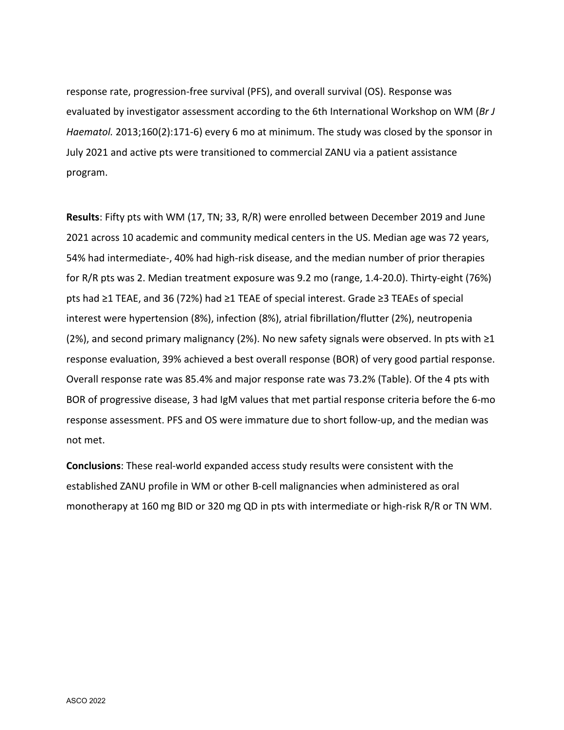response rate, progression-free survival (PFS), and overall survival (OS). Response was evaluated by investigator assessment according to the 6th International Workshop on WM (*Br J Haematol.* 2013;160(2):171-6) every 6 mo at minimum. The study was closed by the sponsor in July 2021 and active pts were transitioned to commercial ZANU via a patient assistance program.

**Results**: Fifty pts with WM (17, TN; 33, R/R) were enrolled between December 2019 and June 2021 across 10 academic and community medical centers in the US. Median age was 72 years, 54% had intermediate-, 40% had high-risk disease, and the median number of prior therapies for R/R pts was 2. Median treatment exposure was 9.2 mo (range, 1.4-20.0). Thirty-eight (76%) pts had ≥1 TEAE, and 36 (72%) had ≥1 TEAE of special interest. Grade ≥3 TEAEs of special interest were hypertension (8%), infection (8%), atrial fibrillation/flutter (2%), neutropenia (2%), and second primary malignancy (2%). No new safety signals were observed. In pts with ≥1 response evaluation, 39% achieved a best overall response (BOR) of very good partial response. Overall response rate was 85.4% and major response rate was 73.2% (Table). Of the 4 pts with BOR of progressive disease, 3 had IgM values that met partial response criteria before the 6-mo response assessment. PFS and OS were immature due to short follow-up, and the median was not met.

**Conclusions**: These real-world expanded access study results were consistent with the established ZANU profile in WM or other B-cell malignancies when administered as oral monotherapy at 160 mg BID or 320 mg QD in pts with intermediate or high-risk R/R or TN WM.